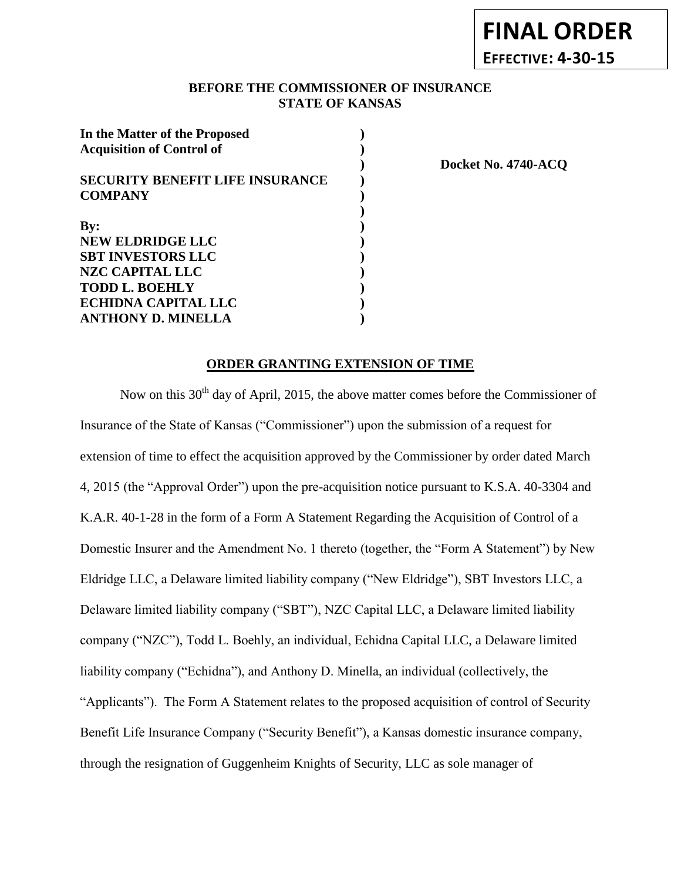## **BEFORE THE COMMISSIONER OF INSURANCE** *-12***STATE OF KANSAS**

| In the Matter of the Proposed          |  |
|----------------------------------------|--|
| <b>Acquisition of Control of</b>       |  |
|                                        |  |
| <b>SECURITY BENEFIT LIFE INSURANCE</b> |  |
| <b>COMPANY</b>                         |  |
|                                        |  |
| By:                                    |  |
| <b>NEW ELDRIDGE LLC</b>                |  |
| <b>SBT INVESTORS LLC</b>               |  |
| NZC CAPITAL LLC                        |  |
| <b>TODD L. BOEHLY</b>                  |  |
| <b>ECHIDNA CAPITAL LLC</b>             |  |
| <b>ANTHONY D. MINELLA</b>              |  |

**) Docket No. 4740-ACQ**

#### **ORDER GRANTING EXTENSION OF TIME**

Now on this 30<sup>th</sup> day of April, 2015, the above matter comes before the Commissioner of Insurance of the State of Kansas ("Commissioner") upon the submission of a request for extension of time to effect the acquisition approved by the Commissioner by order dated March 4, 2015 (the "Approval Order") upon the pre-acquisition notice pursuant to K.S.A. 40-3304 and K.A.R. 40-1-28 in the form of a Form A Statement Regarding the Acquisition of Control of a Domestic Insurer and the Amendment No. 1 thereto (together, the "Form A Statement") by New Eldridge LLC, a Delaware limited liability company ("New Eldridge"), SBT Investors LLC, a Delaware limited liability company ("SBT"), NZC Capital LLC, a Delaware limited liability company ("NZC"), Todd L. Boehly, an individual, Echidna Capital LLC, a Delaware limited liability company ("Echidna"), and Anthony D. Minella, an individual (collectively, the "Applicants"). The Form A Statement relates to the proposed acquisition of control of Security Benefit Life Insurance Company ("Security Benefit"), a Kansas domestic insurance company, through the resignation of Guggenheim Knights of Security, LLC as sole manager of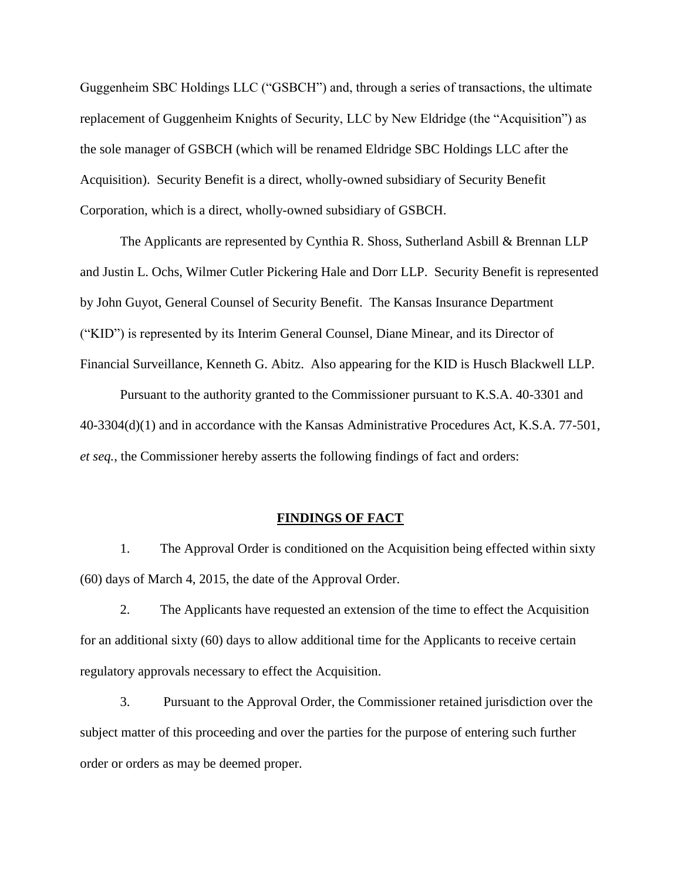Guggenheim SBC Holdings LLC ("GSBCH") and, through a series of transactions, the ultimate replacement of Guggenheim Knights of Security, LLC by New Eldridge (the "Acquisition") as the sole manager of GSBCH (which will be renamed Eldridge SBC Holdings LLC after the Acquisition). Security Benefit is a direct, wholly-owned subsidiary of Security Benefit Corporation, which is a direct, wholly-owned subsidiary of GSBCH.

The Applicants are represented by Cynthia R. Shoss, Sutherland Asbill & Brennan LLP and Justin L. Ochs, Wilmer Cutler Pickering Hale and Dorr LLP. Security Benefit is represented by John Guyot, General Counsel of Security Benefit. The Kansas Insurance Department ("KID") is represented by its Interim General Counsel, Diane Minear, and its Director of Financial Surveillance, Kenneth G. Abitz. Also appearing for the KID is Husch Blackwell LLP.

Pursuant to the authority granted to the Commissioner pursuant to K.S.A. 40-3301 and 40-3304(d)(1) and in accordance with the Kansas Administrative Procedures Act, K.S.A. 77-501, *et seq.*, the Commissioner hereby asserts the following findings of fact and orders:

#### **FINDINGS OF FACT**

1. The Approval Order is conditioned on the Acquisition being effected within sixty (60) days of March 4, 2015, the date of the Approval Order.

2. The Applicants have requested an extension of the time to effect the Acquisition for an additional sixty (60) days to allow additional time for the Applicants to receive certain regulatory approvals necessary to effect the Acquisition.

3. Pursuant to the Approval Order, the Commissioner retained jurisdiction over the subject matter of this proceeding and over the parties for the purpose of entering such further order or orders as may be deemed proper.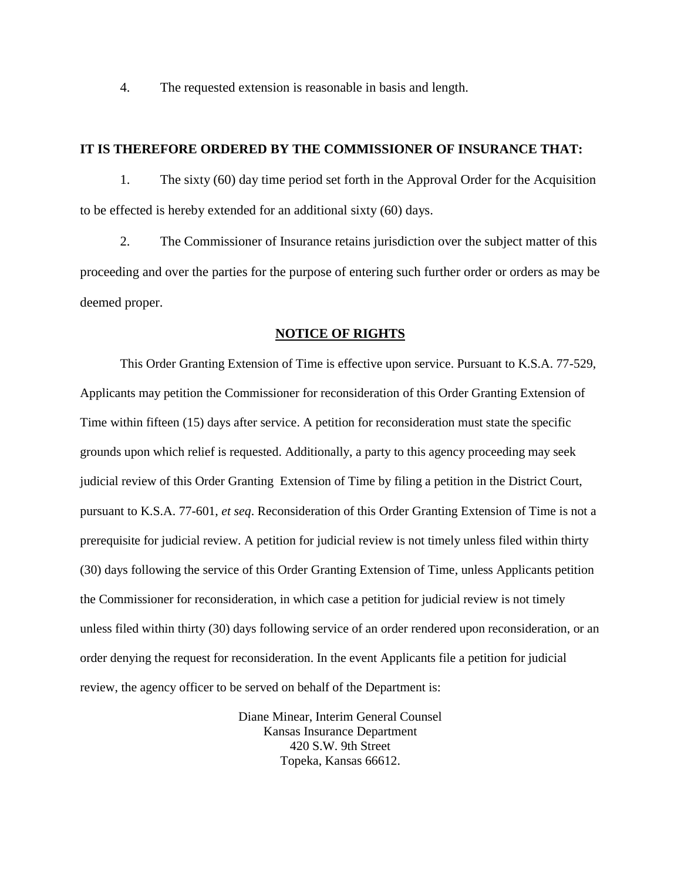4. The requested extension is reasonable in basis and length.

## **IT IS THEREFORE ORDERED BY THE COMMISSIONER OF INSURANCE THAT:**

1. The sixty (60) day time period set forth in the Approval Order for the Acquisition to be effected is hereby extended for an additional sixty (60) days.

2. The Commissioner of Insurance retains jurisdiction over the subject matter of this proceeding and over the parties for the purpose of entering such further order or orders as may be deemed proper.

#### **NOTICE OF RIGHTS**

This Order Granting Extension of Time is effective upon service. Pursuant to K.S.A. 77-529, Applicants may petition the Commissioner for reconsideration of this Order Granting Extension of Time within fifteen (15) days after service. A petition for reconsideration must state the specific grounds upon which relief is requested. Additionally, a party to this agency proceeding may seek judicial review of this Order Granting Extension of Time by filing a petition in the District Court, pursuant to K.S.A. 77-601, *et seq*. Reconsideration of this Order Granting Extension of Time is not a prerequisite for judicial review. A petition for judicial review is not timely unless filed within thirty (30) days following the service of this Order Granting Extension of Time, unless Applicants petition the Commissioner for reconsideration, in which case a petition for judicial review is not timely unless filed within thirty (30) days following service of an order rendered upon reconsideration, or an order denying the request for reconsideration. In the event Applicants file a petition for judicial review, the agency officer to be served on behalf of the Department is:

> Diane Minear, Interim General Counsel Kansas Insurance Department 420 S.W. 9th Street Topeka, Kansas 66612.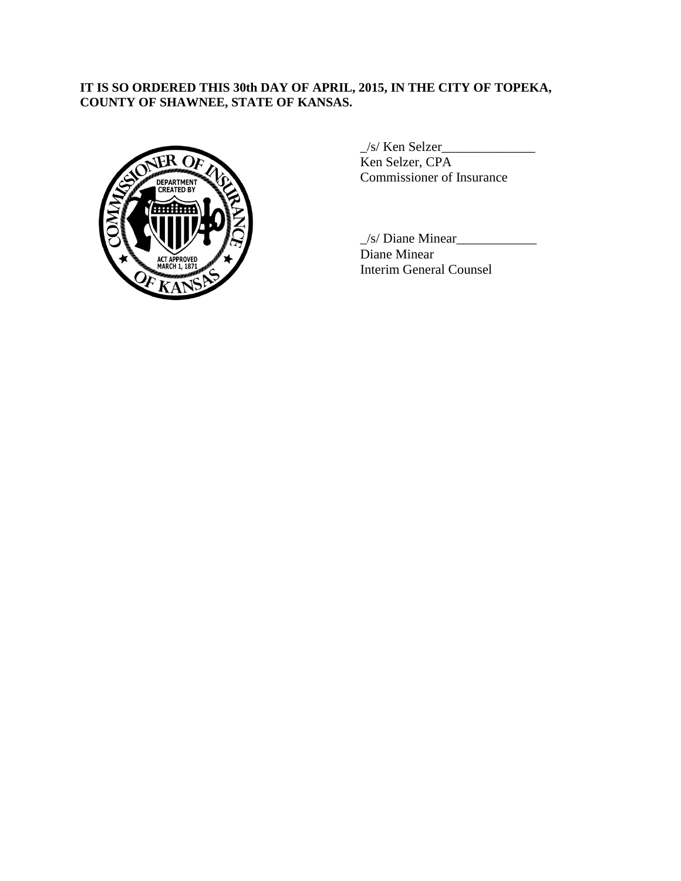# **IT IS SO ORDERED THIS 30th DAY OF APRIL, 2015, IN THE CITY OF TOPEKA, COUNTY OF SHAWNEE, STATE OF KANSAS.**



 $\angle$ s/ Ken Selzer $\angle$ Ken Selzer, CPA Commissioner of Insurance

 $\frac{1}{s}$  Diane Minear Diane Minear Interim General Counsel